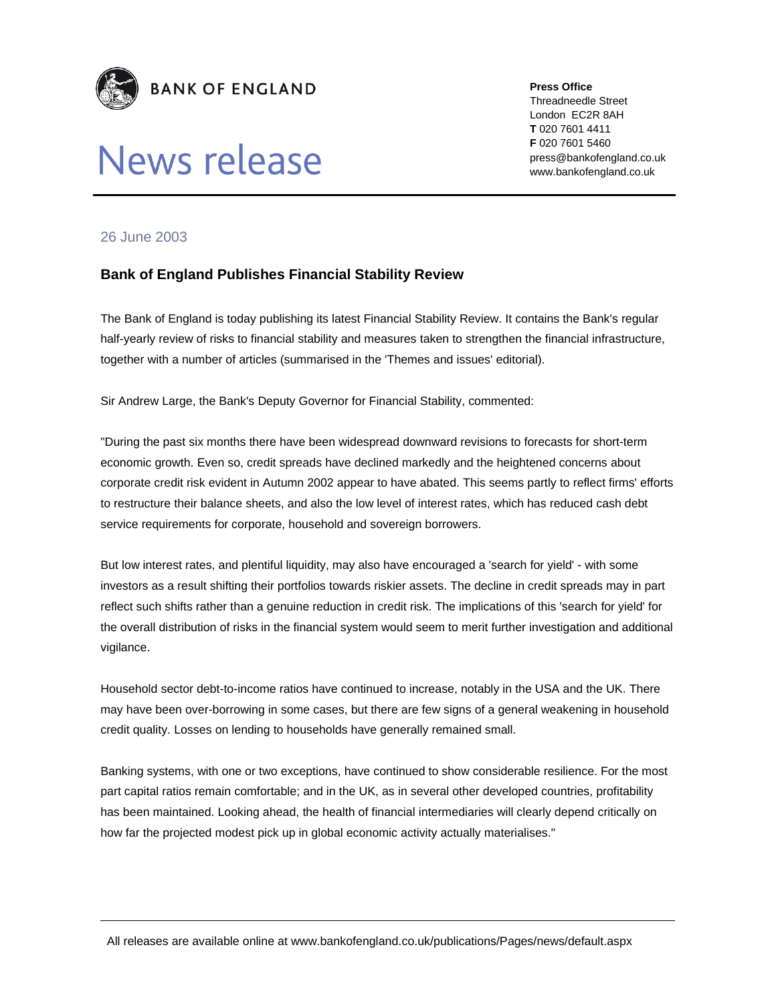

## News release

**Press Office** 

Threadneedle Street London EC2R 8AH **T** 020 7601 4411 **F** 020 7601 5460 press@bankofengland.co.uk www.bankofengland.co.uk

## 26 June 2003

## **Bank of England Publishes Financial Stability Review**

The Bank of England is today publishing its latest Financial Stability Review. It contains the Bank's regular half-yearly review of risks to financial stability and measures taken to strengthen the financial infrastructure, together with a number of articles (summarised in the 'Themes and issues' editorial).

Sir Andrew Large, the Bank's Deputy Governor for Financial Stability, commented:

"During the past six months there have been widespread downward revisions to forecasts for short-term economic growth. Even so, credit spreads have declined markedly and the heightened concerns about corporate credit risk evident in Autumn 2002 appear to have abated. This seems partly to reflect firms' efforts to restructure their balance sheets, and also the low level of interest rates, which has reduced cash debt service requirements for corporate, household and sovereign borrowers.

But low interest rates, and plentiful liquidity, may also have encouraged a 'search for yield' - with some investors as a result shifting their portfolios towards riskier assets. The decline in credit spreads may in part reflect such shifts rather than a genuine reduction in credit risk. The implications of this 'search for yield' for the overall distribution of risks in the financial system would seem to merit further investigation and additional vigilance.

Household sector debt-to-income ratios have continued to increase, notably in the USA and the UK. There may have been over-borrowing in some cases, but there are few signs of a general weakening in household credit quality. Losses on lending to households have generally remained small.

Banking systems, with one or two exceptions, have continued to show considerable resilience. For the most part capital ratios remain comfortable; and in the UK, as in several other developed countries, profitability has been maintained. Looking ahead, the health of financial intermediaries will clearly depend critically on how far the projected modest pick up in global economic activity actually materialises."